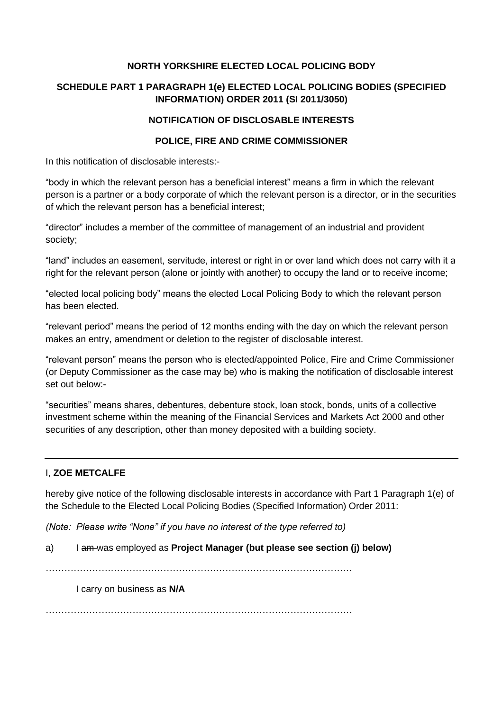### **NORTH YORKSHIRE ELECTED LOCAL POLICING BODY**

# **SCHEDULE PART 1 PARAGRAPH 1(e) ELECTED LOCAL POLICING BODIES (SPECIFIED INFORMATION) ORDER 2011 (SI 2011/3050)**

### **NOTIFICATION OF DISCLOSABLE INTERESTS**

### **POLICE, FIRE AND CRIME COMMISSIONER**

In this notification of disclosable interests:-

"body in which the relevant person has a beneficial interest" means a firm in which the relevant person is a partner or a body corporate of which the relevant person is a director, or in the securities of which the relevant person has a beneficial interest;

"director" includes a member of the committee of management of an industrial and provident society;

"land" includes an easement, servitude, interest or right in or over land which does not carry with it a right for the relevant person (alone or jointly with another) to occupy the land or to receive income;

"elected local policing body" means the elected Local Policing Body to which the relevant person has been elected.

"relevant period" means the period of 12 months ending with the day on which the relevant person makes an entry, amendment or deletion to the register of disclosable interest.

"relevant person" means the person who is elected/appointed Police, Fire and Crime Commissioner (or Deputy Commissioner as the case may be) who is making the notification of disclosable interest set out below:-

"securities" means shares, debentures, debenture stock, loan stock, bonds, units of a collective investment scheme within the meaning of the Financial Services and Markets Act 2000 and other securities of any description, other than money deposited with a building society.

# I, **ZOE METCALFE**

hereby give notice of the following disclosable interests in accordance with Part 1 Paragraph 1(e) of the Schedule to the Elected Local Policing Bodies (Specified Information) Order 2011:

*(Note: Please write "None" if you have no interest of the type referred to)*

a) I am was employed as **Project Manager (but please see section (j) below)**

………………………………………………………………………………………

I carry on business as **N/A**

………………………………………………………………………………………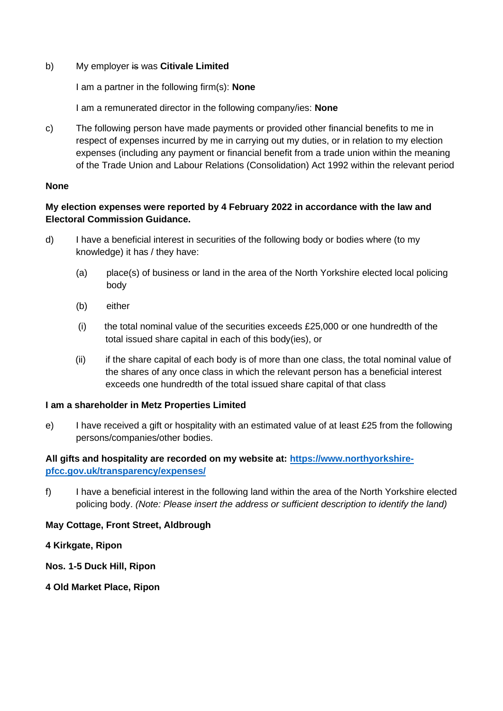b) My employer is was **Citivale Limited**

I am a partner in the following firm(s): **None**

I am a remunerated director in the following company/ies: **None**

c) The following person have made payments or provided other financial benefits to me in respect of expenses incurred by me in carrying out my duties, or in relation to my election expenses (including any payment or financial benefit from a trade union within the meaning of the Trade Union and Labour Relations (Consolidation) Act 1992 within the relevant period

#### **None**

### **My election expenses were reported by 4 February 2022 in accordance with the law and Electoral Commission Guidance.**

- d) I have a beneficial interest in securities of the following body or bodies where (to my knowledge) it has / they have:
	- (a) place(s) of business or land in the area of the North Yorkshire elected local policing body
	- (b) either
	- (i) the total nominal value of the securities exceeds £25,000 or one hundredth of the total issued share capital in each of this body(ies), or
	- (ii) if the share capital of each body is of more than one class, the total nominal value of the shares of any once class in which the relevant person has a beneficial interest exceeds one hundredth of the total issued share capital of that class

#### **I am a shareholder in Metz Properties Limited**

e) I have received a gift or hospitality with an estimated value of at least £25 from the following persons/companies/other bodies.

# **All gifts and hospitality are recorded on my website at: [https://www.northyorkshire](https://www.northyorkshire-pfcc.gov.uk/transparency/expenses/)[pfcc.gov.uk/transparency/expenses/](https://www.northyorkshire-pfcc.gov.uk/transparency/expenses/)**

f) I have a beneficial interest in the following land within the area of the North Yorkshire elected policing body. *(Note: Please insert the address or sufficient description to identify the land)*

# **May Cottage, Front Street, Aldbrough**

#### **4 Kirkgate, Ripon**

**Nos. 1-5 Duck Hill, Ripon**

**4 Old Market Place, Ripon**